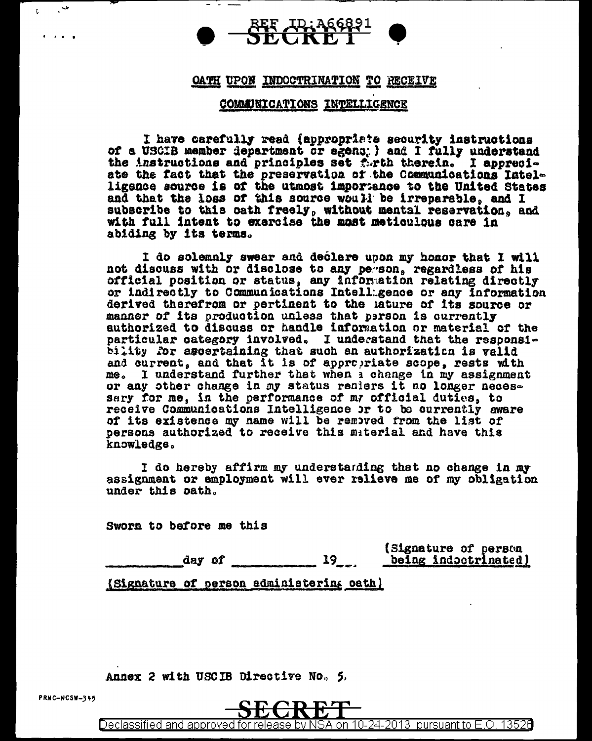

## OATH UPON INDOCTRINATION TO RECEIVE

### COMMUNICATIONS INTELLIGENCE

I have carefully read (appropriate security instructions of a USCIB member department or egens; ) and I fully understand the instructions and principles set forth therein. I appreciate the fact that the preservation of the Communications Intelligence source is of the utmost importance to the United States and that the loss of this source would be irreparable, and I subscribe to this cath freely, without mental reservation, and with full intent to exercise the most meticulous care in abiding by its terms.

I do solemnly swear and declare upon my honor that I will not discuss with or disclose to any person, regardless of his official position or status, any information relating directly or indirectly to Communications Intellagence or any information derived therefrom or pertinent to the lature of its source or manner of its production unless that person is currently authorized to discuss or handle information or material of the particular category involved. I understand that the responsibility for ascertaining that such an authorization is valid and current, and that it is of appropriate scope, rests with me. I understand further that when a change in my assignment or any other change in my status reniers it no longer necessary for me, in the performance of my official duties, to receive Communications Intelligence or to be currently aware of its existence my name will be removed from the list of persons authorized to receive this material and have this knowledge.

I do hereby affirm my understanding that no change in my assignment or employment will ever relieve me of my obligation under this path.

Sworn to before me this

(Signature of person day of  $19...$ being indoctrinated)

Declassified and approved for release by NSA on 10-24-2013 pursuant to E.O. 13526

(Signature of person administering oath)

Annex 2 with USCIB Directive No. 5.

 $\cdot$   $\cdot$